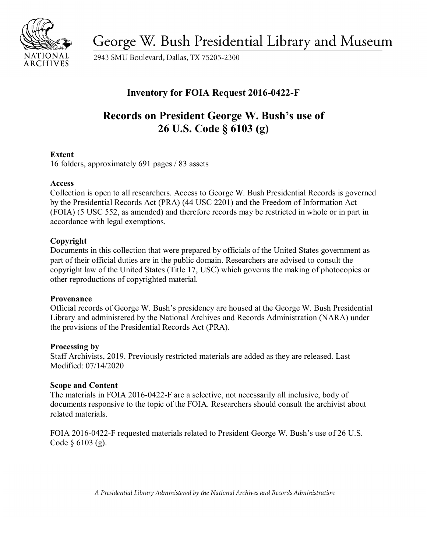

George W. Bush Presidential Library and Museum

2943 SMU Boulevard, Dallas, TX 75205-2300

## **Inventory for FOIA Request 2016-0422-F**

# **Records on President George W. Bush's use of 26 U.S. Code § 6103 (g)**

## **Extent**

16 folders, approximately 691 pages / 83 assets

## **Access**

 Collection is open to all researchers. Access to George W. Bush Presidential Records is governed by the Presidential Records Act (PRA) (44 USC 2201) and the Freedom of Information Act (FOIA) (5 USC 552, as amended) and therefore records may be restricted in whole or in part in accordance with legal exemptions.

## **Copyright**

Documents in this collection that were prepared by officials of the United States government as part of their official duties are in the public domain. Researchers are advised to consult the copyright law of the United States (Title 17, USC) which governs the making of photocopies or other reproductions of copyrighted material.

## **Provenance**

Official records of George W. Bush's presidency are housed at the George W. Bush Presidential Library and administered by the National Archives and Records Administration (NARA) under the provisions of the Presidential Records Act (PRA).

## **Processing by**

Staff Archivists, 2019. Previously restricted materials are added as they are released. Last Modified: 07/14/2020

## **Scope and Content**

The materials in FOIA 2016-0422-F are a selective, not necessarily all inclusive, body of documents responsive to the topic of the FOIA. Researchers should consult the archivist about related materials.

FOIA 2016-0422-F requested materials related to President George W. Bush's use of 26 U.S. Code § 6103 (g).

*A Presidential Library Administered by the National Archives and Records Administration*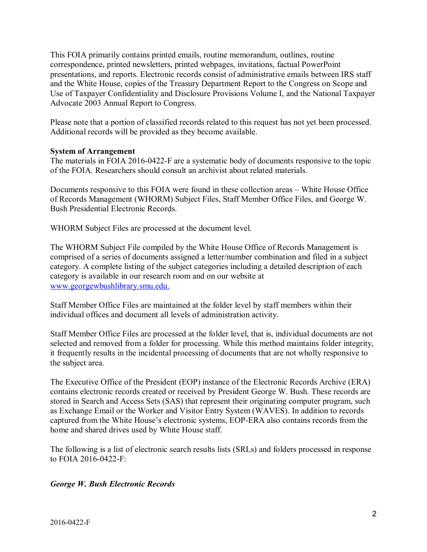correspondence, printed newsletters, printed webpages, invitations, factual PowerPoint and the White House, copies of the Treasury Department Report to the Congress on Scope and Advocate 2003 Annual Report to Congress. This FOIA primarily contains printed emails, routine memorandum, outlines, routine presentations, and reports. Electronic records consist of administrative emails between IRS staff Use of Taxpayer Confidentiality and Disclosure Provisions Volume I, and the National Taxpayer

Please note that a portion of classified records related to this request has not yet been processed. Additional records will be provided as they become available.

#### **System of Arrangement**

 of the FOIA. Researchers should consult an archivist about related materials. The materials in FOIA 2016-0422-F are a systematic body of documents responsive to the topic

 Documents responsive to this FOIA were found in these collection areas – White House Office of Records Management (WHORM) Subject Files, Staff Member Office Files, and George W. Bush Presidential Electronic Records.

WHORM Subject Files are processed at the document level.

 comprised of a series of documents assigned a letter/number combination and filed in a subject The WHORM Subject File compiled by the White House Office of Records Management is category. A complete listing of the subject categories including a detailed description of each category is available in our research room and on our website at www.georgewbushlibrary.smu.edu.

 Staff Member Office Files are maintained at the folder level by staff members within their individual offices and document all levels of administration activity.

 selected and removed from a folder for processing. While this method maintains folder integrity, it frequently results in the incidental processing of documents that are not wholly responsive to Staff Member Office Files are processed at the folder level, that is, individual documents are not the subject area.

The Executive Office of the President (EOP) instance of the Electronic Records Archive (ERA) contains electronic records created or received by President George W. Bush. These records are stored in Search and Access Sets (SAS) that represent their originating computer program, such as Exchange Email or the Worker and Visitor Entry System (WAVES). In addition to records captured from the White House's electronic systems, EOP-ERA also contains records from the home and shared drives used by White House staff.

The following is a list of electronic search results lists (SRLs) and folders processed in response to FOIA 2016-0422-F:

## *George W. Bush Electronic Records*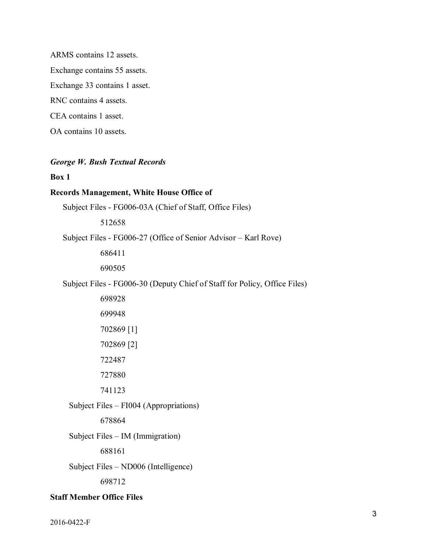ARMS contains 12 assets. Exchange contains 55 assets. Exchange 33 contains 1 asset. RNC contains 4 assets. CEA contains 1 asset. OA contains 10 assets.

#### *George W. Bush Textual Records*

#### **Box 1**

#### **Records Management, White House Office of**

Subject Files - FG006-03A (Chief of Staff, Office Files)

512658

Subject Files - FG006-27 (Office of Senior Advisor – Karl Rove)

686411

690505

Subject Files - FG006-30 (Deputy Chief of Staff for Policy, Office Files)

Subject Files – FI004 (Appropriations)

678864

Subject Files – IM (Immigration)

688161

Subject Files – ND006 (Intelligence)

698712

#### **Staff Member Office Files**